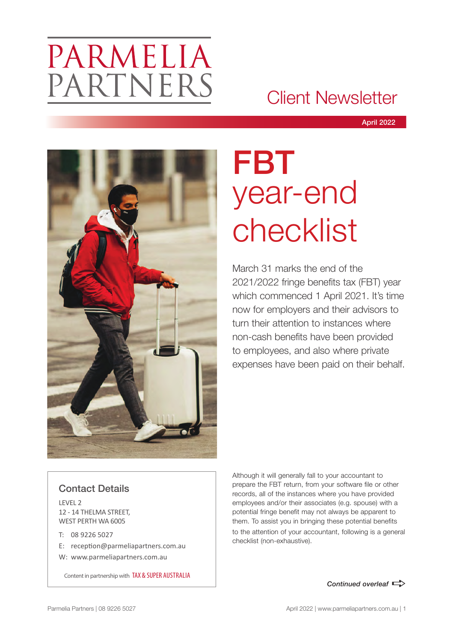# PARMELIA PARTNERS

## Client Newsletter

April 2022



# FBT year-end checklist

March 31 marks the end of the 2021/2022 fringe benefits tax (FBT) year which commenced 1 April 2021. It's time now for employers and their advisors to turn their attention to instances where non-cash benefits have been provided to employees, and also where private expenses have been paid on their behalf.

### Contact Details

LEVEL 2 12 - 14 THELMA STREET, WEST PERTH WA 6005

- T: 08 9226 5027
- E: reception@parmeliapartners.com.au
- W: www.parmeliapartners.com.au

Content in partnership with TAX & SUPER AUSTRALIA

Although it will generally fall to your accountant to prepare the FBT return, from your software file or other records, all of the instances where you have provided employees and/or their associates (e.g. spouse) with a potential fringe benefit may not always be apparent to them. To assist you in bringing these potential benefits to the attention of your accountant, following is a general checklist (non-exhaustive).

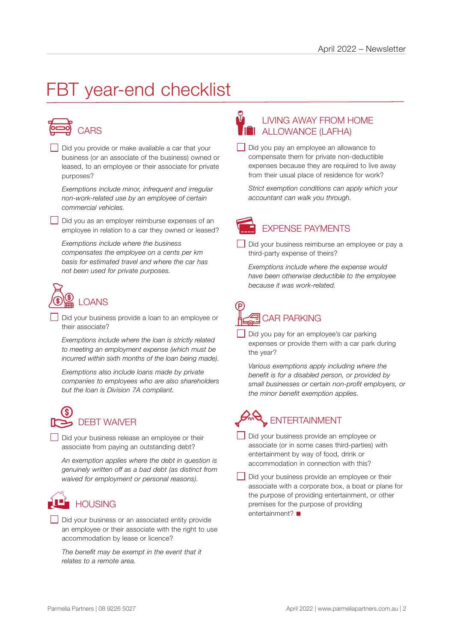## FBT year-end checklist



Did you provide or make available a car that your business (or an associate of the business) owned or leased, to an employee or their associate for private purposes?

*Exemptions include minor, infrequent and irregular non-work-related use by an employee of certain commercial vehicles.*

Did you as an employer reimburse expenses of an employee in relation to a car they owned or leased?

*Exemptions include where the business compensates the employee on a cents per km basis for estimated travel and where the car has not been used for private purposes.*



Did your business provide a loan to an employee or their associate?

*Exemptions include where the loan is strictly related to meeting an employment expense (which must be incurred within sixth months of the loan being made).*

*Exemptions also include loans made by private companies to employees who are also shareholders but the loan is Division 7A compliant.*



Did your business release an employee or their associate from paying an outstanding debt?

*An exemption applies where the debt in question is genuinely written off as a bad debt (as distinct from waived for employment or personal reasons).*

## **HOUSING**

Did your business or an associated entity provide an employee or their associate with the right to use accommodation by lease or licence?

*The benefit may be exempt in the event that it relates to a remote area.*

### LIVING AWAY FROM HOME **THE ALLOWANCE (LAFHA)**

Did you pay an employee an allowance to compensate them for private non-deductible expenses because they are required to live away from their usual place of residence for work?

*Strict exemption conditions can apply which your accountant can walk you through.*



Did your business reimburse an employee or pay a third-party expense of theirs?

*Exemptions include where the expense would have been otherwise deductible to the employee because it was work-related.*



Did you pay for an employee's car parking expenses or provide them with a car park during the year?

*Various exemptions apply including where the benefit is for a disabled person, or provided by small businesses or certain non-profit employers, or the minor benefit exemption applies.*

## ENTERTAINMENT

- Did your business provide an employee or associate (or in some cases third-parties) with entertainment by way of food, drink or accommodation in connection with this?
- Did your business provide an employee or their associate with a corporate box, a boat or plane for the purpose of providing entertainment, or other premises for the purpose of providing entertainment? $\blacksquare$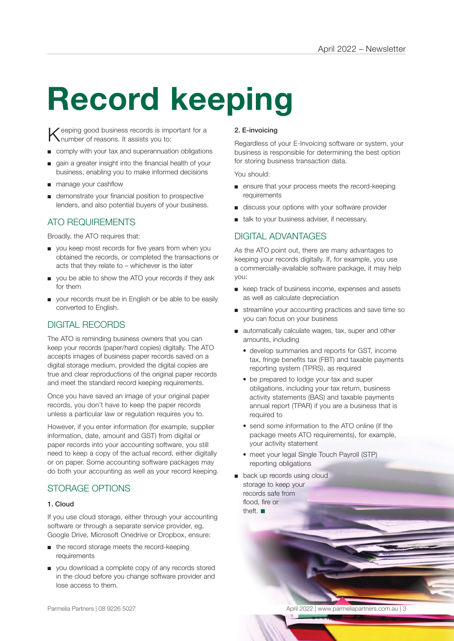# **Record keeping**

Keeping good business records is important for a humber of reasons. It assists you to:

- comply with your tax and superannuation obligations
- gain a greater insight into the financial health of your business, enabling you to make informed decisions
- manage your cashflow
- demonstrate your financial position to prospective lenders, and also potential buyers of your business.

### ATO REQUIREMENTS

Broadly, the ATO requires that:

- you keep most records for five years from when you obtained the records, or completed the transactions or acts that they relate to – whichever is the later
- you be able to show the ATO your records if they ask for them
- your records must be in English or be able to be easily converted to English.

### DIGITAL RECORDS

The ATO is reminding business owners that you can keep your records (paper/hard copies) digitally. The ATO accepts images of business paper records saved on a digital storage medium, provided the digital copies are true and clear reproductions of the original paper records and meet the standard record keeping requirements.

Once you have saved an image of your original paper records, you don't have to keep the paper records unless a particular law or regulation requires you to.

However, if you enter information (for example, supplier information, date, amount and GST) from digital or paper records into your accounting software, you still need to keep a copy of the actual record, either digitally or on paper. Some accounting software packages may do both your accounting as well as your record keeping.

### STORAGE OPTIONS

#### 1. Cloud

If you use cloud storage, either through your accounting software or through a separate service provider, eg, Google Drive, Microsoft Onedrive or Dropbox, ensure:

- the record storage meets the record-keeping requirements
- you download a complete copy of any records stored in the cloud before you change software provider and lose access to them.

#### 2. E-invoicing

Regardless of your E-Invoicing software or system, your business is responsible for determining the best option for storing business transaction data.

You should:

- ensure that your process meets the record-keeping requirements
- discuss your options with your software provider
- talk to your business adviser, if necessary.

### DIGITAL ADVANTAGES

As the ATO point out, there are many advantages to keeping your records digitally. If, for example, you use a commercially-available software package, it may help you:

- keep track of business income, expenses and assets as well as calculate depreciation
- streamline your accounting practices and save time so you can focus on your business
- automatically calculate wages, tax, super and other amounts, including
	- develop summaries and reports for GST, income tax, fringe benefits tax (FBT) and taxable payments reporting system (TPRS), as required
	- be prepared to lodge your tax and super obligations, including your tax return, business activity statements (BAS) and taxable payments annual report (TPAR) if you are a business that is required to
	- send some information to the ATO online (if the package meets ATO requirements), for example, your activity statement
	- meet your legal Single Touch Payroll (STP) reporting obligations
- back up records using cloud storage to keep your records safe from flood, fire or theft.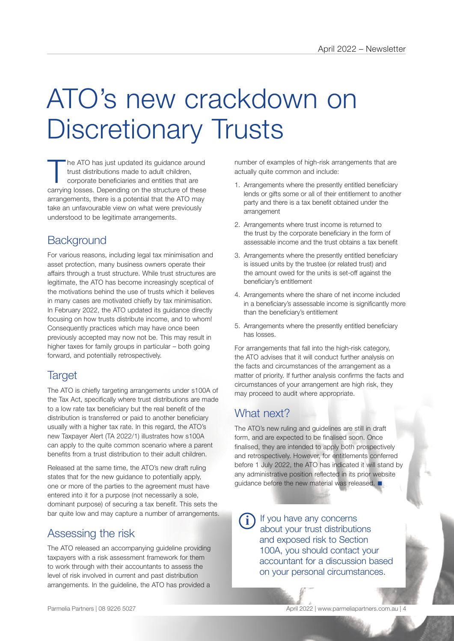# ATO's new crackdown on Discretionary Trusts

he ATO has just updated its guidance around trust distributions made to adult children, corporate beneficiaries and entities that are carrying losses. Depending on the structure of these arrangements, there is a potential that the ATO may take an unfavourable view on what were previously understood to be legitimate arrangements.

### **Background**

For various reasons, including legal tax minimisation and asset protection, many business owners operate their affairs through a trust structure. While trust structures are legitimate, the ATO has become increasingly sceptical of the motivations behind the use of trusts which it believes in many cases are motivated chiefly by tax minimisation. In February 2022, the ATO updated its guidance directly focusing on how trusts distribute income, and to whom! Consequently practices which may have once been previously accepted may now not be. This may result in higher taxes for family groups in particular – both going forward, and potentially retrospectively.

### **Target**

The ATO is chiefly targeting arrangements under s100A of the Tax Act, specifically where trust distributions are made to a low rate tax beneficiary but the real benefit of the distribution is transferred or paid to another beneficiary usually with a higher tax rate. In this regard, the ATO's new Taxpayer Alert (TA 2022/1) illustrates how s100A can apply to the quite common scenario where a parent benefits from a trust distribution to their adult children.

Released at the same time, the ATO's new draft ruling states that for the new guidance to potentially apply, one or more of the parties to the agreement must have entered into it for a purpose (not necessarily a sole, dominant purpose) of securing a tax benefit. This sets the bar quite low and may capture a number of arrangements.

### Assessing the risk

The ATO released an accompanying guideline providing taxpayers with a risk assessment framework for them to work through with their accountants to assess the level of risk involved in current and past distribution arrangements. In the guideline, the ATO has provided a

number of examples of high-risk arrangements that are actually quite common and include:

- 1. Arrangements where the presently entitled beneficiary lends or gifts some or all of their entitlement to another party and there is a tax benefit obtained under the arrangement
- 2. Arrangements where trust income is returned to the trust by the corporate beneficiary in the form of assessable income and the trust obtains a tax benefit
- 3. Arrangements where the presently entitled beneficiary is issued units by the trustee (or related trust) and the amount owed for the units is set-off against the beneficiary's entitlement
- 4. Arrangements where the share of net income included in a beneficiary's assessable income is significantly more than the beneficiary's entitlement
- 5. Arrangements where the presently entitled beneficiary has losses.

For arrangements that fall into the high-risk category, the ATO advises that it will conduct further analysis on the facts and circumstances of the arrangement as a matter of priority. If further analysis confirms the facts and circumstances of your arrangement are high risk, they may proceed to audit where appropriate.

### What next?

The ATO's new ruling and guidelines are still in draft form, and are expected to be finalised soon. Once finalised, they are intended to apply both prospectively and retrospectively. However, for entitlements conferred before 1 July 2022, the ATO has indicated it will stand by any administrative position reflected in its prior website guidance before the new material was released.  $\blacksquare$ 

If you have any concerns about your trust distributions and exposed risk to Section 100A, you should contact your accountant for a discussion based on your personal circumstances. **i**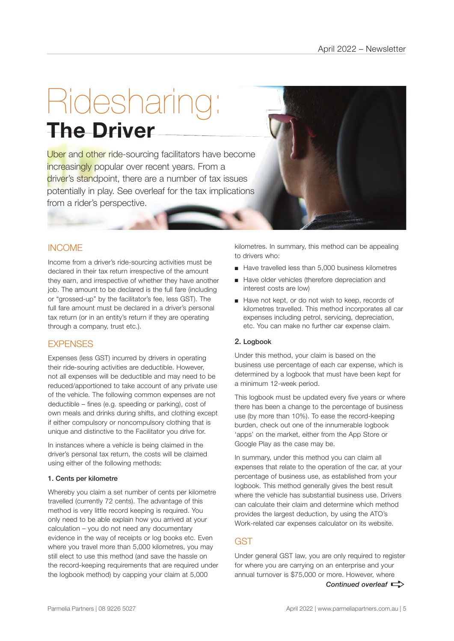# Ridesharing: **The Driver**

Uber and other ride-sourcing facilitators have become increasingly popular over recent years. From a driver's standpoint, there are a number of tax issues potentially in play. See overleaf for the tax implications from a rider's perspective.

### INCOME

Income from a driver's ride-sourcing activities must be declared in their tax return irrespective of the amount they earn, and irrespective of whether they have another job. The amount to be declared is the full fare (including or "grossed-up" by the facilitator's fee, less GST). The full fare amount must be declared in a driver's personal tax return (or in an entity's return if they are operating through a company, trust etc.).

### **EXPENSES**

Expenses (less GST) incurred by drivers in operating their ride-souring activities are deductible. However, not all expenses will be deductible and may need to be reduced/apportioned to take account of any private use of the vehicle. The following common expenses are not deductible – fines (e.g. speeding or parking), cost of own meals and drinks during shifts, and clothing except if either compulsory or noncompulsory clothing that is unique and distinctive to the Facilitator you drive for.

In instances where a vehicle is being claimed in the driver's personal tax return, the costs will be claimed using either of the following methods:

#### 1. Cents per kilometre

Whereby you claim a set number of cents per kilometre travelled (currently 72 cents). The advantage of this method is very little record keeping is required. You only need to be able explain how you arrived at your calculation – you do not need any documentary evidence in the way of receipts or log books etc. Even where you travel more than 5,000 kilometres, you may still elect to use this method (and save the hassle on the record-keeping requirements that are required under the logbook method) by capping your claim at 5,000

kilometres. In summary, this method can be appealing to drivers who:

- Have travelled less than 5,000 business kilometres
- Have older vehicles (therefore depreciation and interest costs are low)
- Have not kept, or do not wish to keep, records of kilometres travelled. This method incorporates all car expenses including petrol, servicing, depreciation, etc. You can make no further car expense claim.

#### 2. Logbook

Under this method, your claim is based on the business use percentage of each car expense, which is determined by a logbook that must have been kept for a minimum 12-week period.

This logbook must be updated every five years or where there has been a change to the percentage of business use (by more than 10%). To ease the record-keeping burden, check out one of the innumerable logbook 'apps' on the market, either from the App Store or Google Play as the case may be.

In summary, under this method you can claim all expenses that relate to the operation of the car, at your percentage of business use, as established from your logbook. This method generally gives the best result where the vehicle has substantial business use. Drivers can calculate their claim and determine which method provides the largest deduction, by using the ATO's Work-related car expenses calculator on its website.

### GST

*Continued overleaf*  $\Rightarrow$ Under general GST law, you are only required to register for where you are carrying on an enterprise and your annual turnover is \$75,000 or more. However, where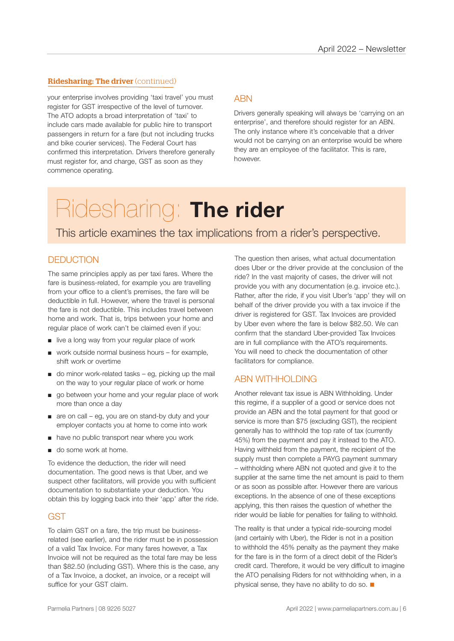#### Ridesharing: The driver (continued)

your enterprise involves providing 'taxi travel' you must register for GST irrespective of the level of turnover. The ATO adopts a broad interpretation of 'taxi' to include cars made available for public hire to transport passengers in return for a fare (but not including trucks and bike courier services). The Federal Court has confirmed this interpretation. Drivers therefore generally must register for, and charge, GST as soon as they commence operating.

### **ARN**

Drivers generally speaking will always be 'carrying on an enterprise', and therefore should register for an ABN. The only instance where it's conceivable that a driver would not be carrying on an enterprise would be where they are an employee of the facilitator. This is rare, however.

## Ridesharing: **The rider**

This article examines the tax implications from a rider's perspective.

### **DEDUCTION**

The same principles apply as per taxi fares. Where the fare is business-related, for example you are travelling from your office to a client's premises, the fare will be deductible in full. However, where the travel is personal the fare is not deductible. This includes travel between home and work. That is, trips between your home and regular place of work can't be claimed even if you:

- live a long way from your regular place of work
- work outside normal business hours for example, shift work or overtime
- $\Box$  do minor work-related tasks eq, picking up the mail on the way to your regular place of work or home
- go between your home and your regular place of work more than once a day
- are on call eg, you are on stand-by duty and your employer contacts you at home to come into work
- have no public transport near where you work
- do some work at home.

To evidence the deduction, the rider will need documentation. The good news is that Uber, and we suspect other facilitators, will provide you with sufficient documentation to substantiate your deduction. You obtain this by logging back into their 'app' after the ride.

### **GST**

To claim GST on a fare, the trip must be businessrelated (see earlier), and the rider must be in possession of a valid Tax Invoice. For many fares however, a Tax Invoice will not be required as the total fare may be less than \$82.50 (including GST). Where this is the case, any of a Tax Invoice, a docket, an invoice, or a receipt will suffice for your GST claim.

The question then arises, what actual documentation does Uber or the driver provide at the conclusion of the ride? In the vast majority of cases, the driver will not provide you with any documentation (e.g. invoice etc.). Rather, after the ride, if you visit Uber's 'app' they will on behalf of the driver provide you with a tax invoice if the driver is registered for GST. Tax Invoices are provided by Uber even where the fare is below \$82.50. We can confirm that the standard Uber-provided Tax Invoices are in full compliance with the ATO's requirements. You will need to check the documentation of other facilitators for compliance.

### ABN WITHHOLDING

Another relevant tax issue is ABN Withholding. Under this regime, if a supplier of a good or service does not provide an ABN and the total payment for that good or service is more than \$75 (excluding GST), the recipient generally has to withhold the top rate of tax (currently 45%) from the payment and pay it instead to the ATO. Having withheld from the payment, the recipient of the supply must then complete a PAYG payment summary – withholding where ABN not quoted and give it to the supplier at the same time the net amount is paid to them or as soon as possible after. However there are various exceptions. In the absence of one of these exceptions applying, this then raises the question of whether the rider would be liable for penalties for failing to withhold.

The reality is that under a typical ride-sourcing model (and certainly with Uber), the Rider is not in a position to withhold the 45% penalty as the payment they make for the fare is in the form of a direct debit of the Rider's credit card. Therefore, it would be very difficult to imagine the ATO penalising Riders for not withholding when, in a physical sense, they have no ability to do so.  $\blacksquare$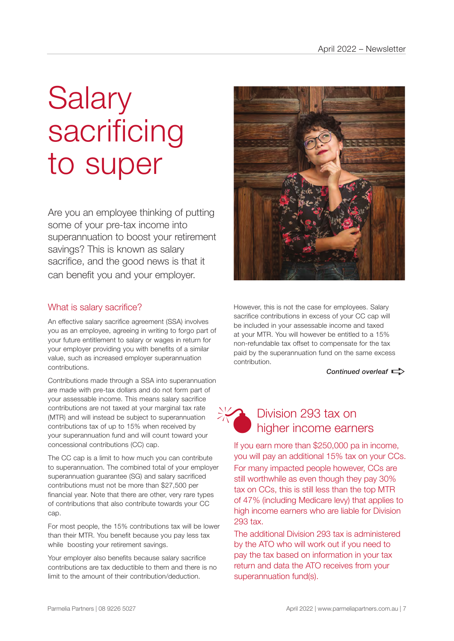# **Salary** sacrificing to super

Are you an employee thinking of putting some of your pre-tax income into superannuation to boost your retirement savings? This is known as salary sacrifice, and the good news is that it can benefit you and your employer.

### What is salary sacrifice?

An effective salary sacrifice agreement (SSA) involves you as an employee, agreeing in writing to forgo part of your future entitlement to salary or wages in return for your employer providing you with benefits of a similar value, such as increased employer superannuation contributions.

Contributions made through a SSA into superannuation are made with pre-tax dollars and do not form part of your assessable income. This means salary sacrifice contributions are not taxed at your marginal tax rate (MTR) and will instead be subject to superannuation contributions tax of up to 15% when received by your superannuation fund and will count toward your concessional contributions (CC) cap.

The CC cap is a limit to how much you can contribute to superannuation. The combined total of your employer superannuation guarantee (SG) and salary sacrificed contributions must not be more than \$27,500 per financial year. Note that there are other, very rare types of contributions that also contribute towards your CC cap.

For most people, the 15% contributions tax will be lower than their MTR. You benefit because you pay less tax while boosting your retirement savings.

Your employer also benefits because salary sacrifice contributions are tax deductible to them and there is no limit to the amount of their contribution/deduction.



However, this is not the case for employees. Salary sacrifice contributions in excess of your CC cap will be included in your assessable income and taxed at your MTR. You will however be entitled to a 15% non-refundable tax offset to compensate for the tax paid by the superannuation fund on the same excess contribution.

*Continued overleaf* 



### Division 293 tax on higher income earners

If you earn more than \$250,000 pa in income, you will pay an additional 15% tax on your CCs. For many impacted people however, CCs are still worthwhile as even though they pay 30% tax on CCs, this is still less than the top MTR of 47% (including Medicare levy) that applies to high income earners who are liable for Division 293 tax.

The additional Division 293 tax is administered by the ATO who will work out if you need to pay the tax based on information in your tax return and data the ATO receives from your superannuation fund(s).